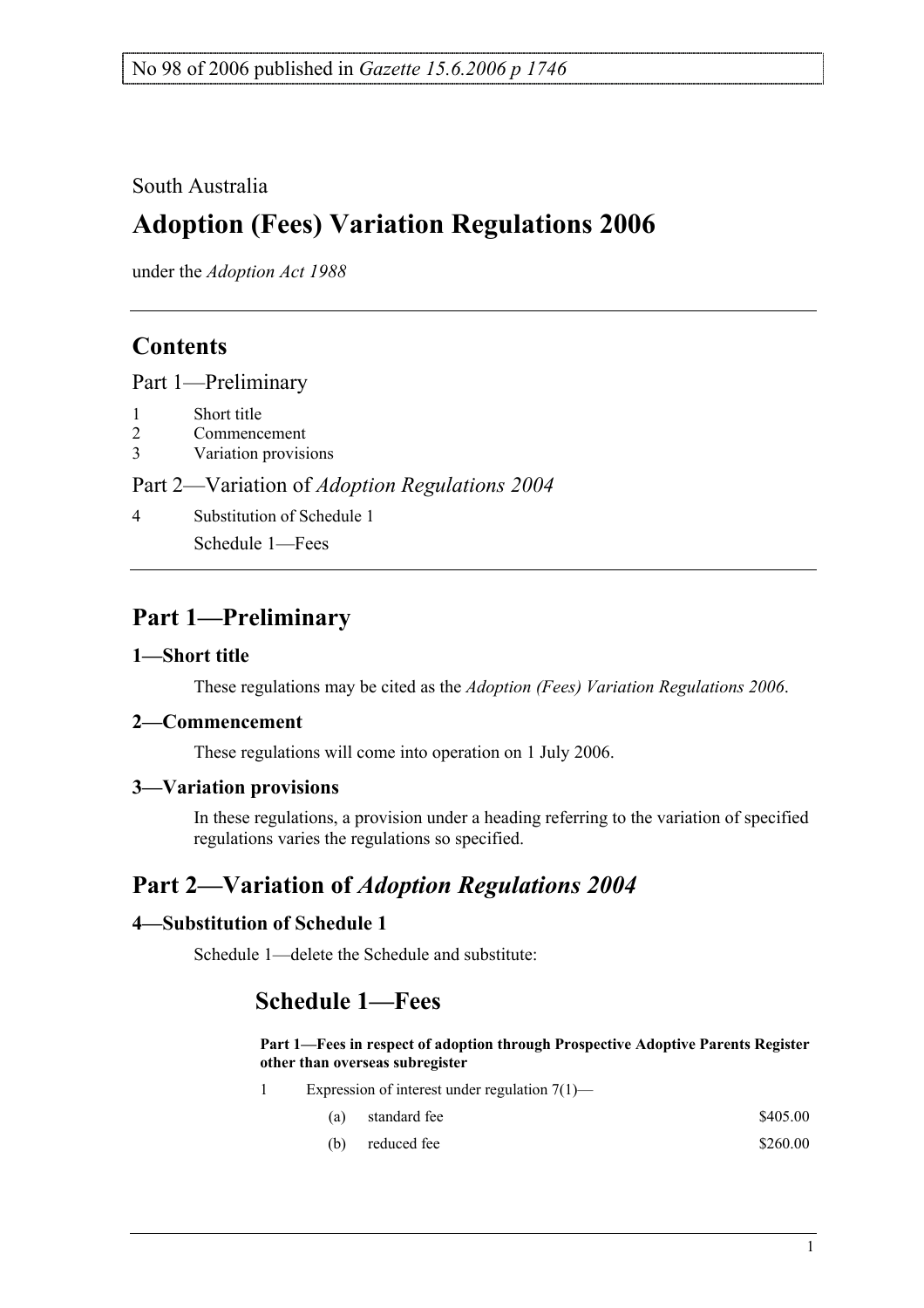### South Australia

# **Adoption (Fees) Variation Regulations 2006**

under the *Adoption Act 1988*

### **Contents**

Part 1—Preliminary

- 1 Short title
- 2 Commencement
- 3 Variation provisions

#### Part 2—Variation of *Adoption Regulations 2004*

4 Substitution of Schedule 1

Schedule 1—Fees

### **Part 1—Preliminary**

#### **1—Short title**

These regulations may be cited as the *Adoption (Fees) Variation Regulations 2006*.

#### **2—Commencement**

These regulations will come into operation on 1 July 2006.

#### **3—Variation provisions**

In these regulations, a provision under a heading referring to the variation of specified regulations varies the regulations so specified.

## **Part 2—Variation of** *Adoption Regulations 2004*

#### **4—Substitution of Schedule 1**

Schedule 1—delete the Schedule and substitute:

### **Schedule 1—Fees**

#### **Part 1—Fees in respect of adoption through Prospective Adoptive Parents Register other than overseas subregister**

- 1 Expression of interest under regulation 7(1)—
	- (a) standard fee  $$405.00$
	- (b) reduced fee  $$260.00$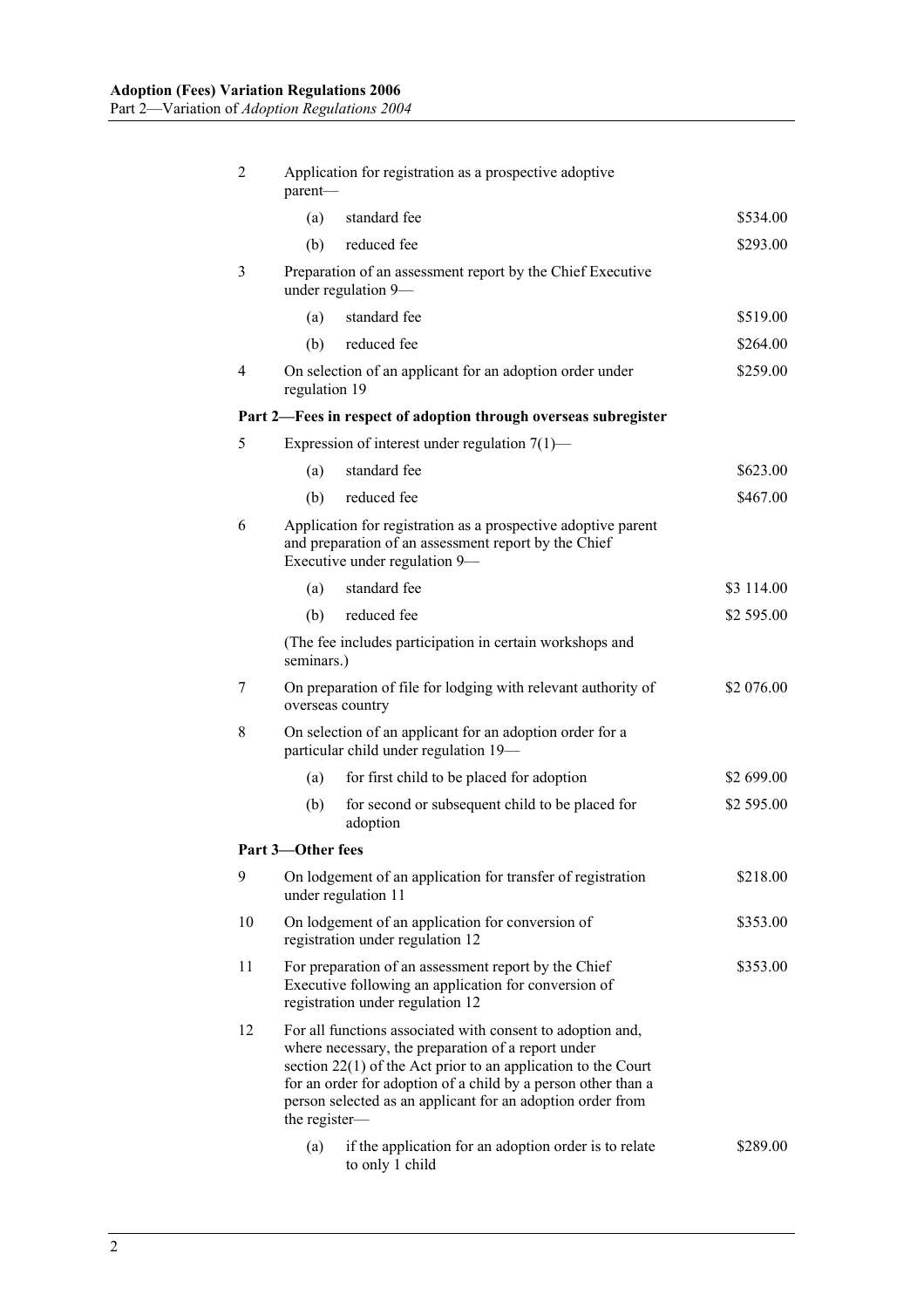| $\overline{2}$ | Application for registration as a prospective adoptive<br>parent-                                                                                                                                                                                                                                                                   |                                                                                    |            |  |  |
|----------------|-------------------------------------------------------------------------------------------------------------------------------------------------------------------------------------------------------------------------------------------------------------------------------------------------------------------------------------|------------------------------------------------------------------------------------|------------|--|--|
|                | (a)                                                                                                                                                                                                                                                                                                                                 | standard fee                                                                       | \$534.00   |  |  |
|                | (b)                                                                                                                                                                                                                                                                                                                                 | reduced fee                                                                        | \$293.00   |  |  |
| 3              | Preparation of an assessment report by the Chief Executive<br>under regulation 9—                                                                                                                                                                                                                                                   |                                                                                    |            |  |  |
|                | (a)                                                                                                                                                                                                                                                                                                                                 | standard fee                                                                       | \$519.00   |  |  |
|                | (b)                                                                                                                                                                                                                                                                                                                                 | reduced fee                                                                        | \$264.00   |  |  |
| $\overline{4}$ | On selection of an applicant for an adoption order under<br>\$259.00<br>regulation 19                                                                                                                                                                                                                                               |                                                                                    |            |  |  |
|                |                                                                                                                                                                                                                                                                                                                                     | Part 2-Fees in respect of adoption through overseas subregister                    |            |  |  |
| 5              |                                                                                                                                                                                                                                                                                                                                     | Expression of interest under regulation $7(1)$ —                                   |            |  |  |
|                | (a)                                                                                                                                                                                                                                                                                                                                 | standard fee                                                                       | \$623.00   |  |  |
|                | (b)                                                                                                                                                                                                                                                                                                                                 | reduced fee                                                                        | \$467.00   |  |  |
| 6              | Application for registration as a prospective adoptive parent<br>and preparation of an assessment report by the Chief<br>Executive under regulation 9—                                                                                                                                                                              |                                                                                    |            |  |  |
|                | (a)                                                                                                                                                                                                                                                                                                                                 | standard fee                                                                       | \$3 114.00 |  |  |
|                | (b)                                                                                                                                                                                                                                                                                                                                 | reduced fee                                                                        | \$2 595.00 |  |  |
|                | (The fee includes participation in certain workshops and<br>seminars.)                                                                                                                                                                                                                                                              |                                                                                    |            |  |  |
| 7              | On preparation of file for lodging with relevant authority of<br>overseas country                                                                                                                                                                                                                                                   |                                                                                    | \$2 076.00 |  |  |
| 8              | On selection of an applicant for an adoption order for a<br>particular child under regulation 19-                                                                                                                                                                                                                                   |                                                                                    |            |  |  |
|                | (a)                                                                                                                                                                                                                                                                                                                                 | for first child to be placed for adoption                                          | \$2 699.00 |  |  |
|                | (b)                                                                                                                                                                                                                                                                                                                                 | for second or subsequent child to be placed for<br>adoption                        | \$2 595.00 |  |  |
|                | Part 3-Other fees                                                                                                                                                                                                                                                                                                                   |                                                                                    |            |  |  |
| 9              |                                                                                                                                                                                                                                                                                                                                     | On lodgement of an application for transfer of registration<br>under regulation 11 | \$218.00   |  |  |
| 10             | On lodgement of an application for conversion of<br>registration under regulation 12                                                                                                                                                                                                                                                |                                                                                    | \$353.00   |  |  |
| 11             | For preparation of an assessment report by the Chief<br>\$353.00<br>Executive following an application for conversion of<br>registration under regulation 12                                                                                                                                                                        |                                                                                    |            |  |  |
| 12             | For all functions associated with consent to adoption and,<br>where necessary, the preparation of a report under<br>section $22(1)$ of the Act prior to an application to the Court<br>for an order for adoption of a child by a person other than a<br>person selected as an applicant for an adoption order from<br>the register- |                                                                                    |            |  |  |
|                | (a)                                                                                                                                                                                                                                                                                                                                 | if the application for an adoption order is to relate<br>to only 1 child           | \$289.00   |  |  |